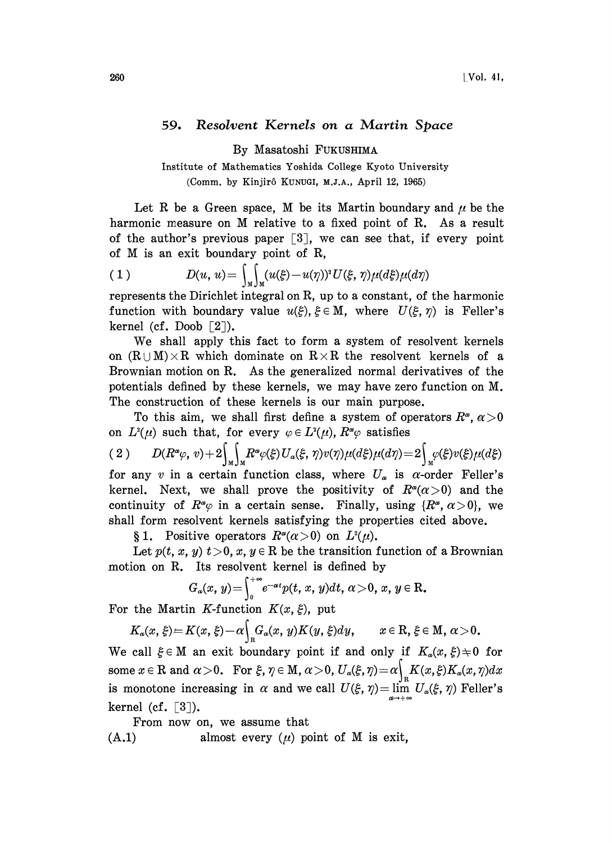## 59. Resolvent Kernels on a Martin Space

By Masatoshi FUKUSHIMA

Institute of Mathematics Yoshida College Kyoto University (Comm. by Kinjirô KUNUGI, M.J.A., April 12, 1965)

Let R be a Green space, M be its Martin boundary and  $\mu$  be the harmonic measure on  $M$  relative to a fixed point of  $R$ . As a result of the author's previous paper  $\lceil 3 \rceil$ , we can see that, if every point of  $M$  is an exit boundary point of  $R$ ,

(1) 
$$
D(u, u) = \int_{M} \int_{M} (u(\xi) - u(\eta))^{2} U(\xi, \eta) \mu(d\xi) \mu(d\eta)
$$

represents the Dirichlet integral on R, up to a constant, of the harmonic function with boundary value  $u(\xi)$ ,  $\xi \in M$ , where  $U(\xi, \eta)$  is Feller's kernel (cf. Doob [2]).

We shall apply this fact to form <sup>a</sup> system of resolvent kernels on  $(R \cup M) \times R$  which dominate on  $R \times R$  the resolvent kernels of a Brownian motion on R. As the generalized normal derivatives of the potentials defined by these kernels, we may have zero function on M. The construction of these kernels is our main purpose.

To this aim, we shall first define a system of operators  $R^{\alpha}$ ,  $\alpha > 0$ 

on  $L^2(\mu)$  such that, for every  $\varphi \in L^2(\mu)$ ,  $R^{\alpha}\varphi$  satisfies<br>
(2)  $D(R^{\alpha}\varphi, v) + 2\int_M \int_M R^{\alpha}\varphi(\xi)U_{\alpha}(\xi, \eta)v(\eta)\mu(d\xi)\mu(d\eta) = 2\int_M \varphi(\xi)v(\xi)\mu(d\xi)$ for any v in a certain function class, where  $U_{\alpha}$  is  $\alpha$ -order Feller's kernel. Next, we shall prove the positivity of  $R^{\alpha}(\alpha>0)$  and the continuity of  $R^{\alpha}\varphi$  in a certain sense. Finally, using  $\{R^{\alpha}, \alpha > 0\}$ , we shall form resolvent kernels satisfying the properties cited above.

§ 1. Positive operators  $R^{\alpha}(\alpha>0)$  on  $L^2(\mu)$ .

Let  $p(t, x, y)$   $t > 0$ ,  $x, y \in \mathbb{R}$  be the transition function of a Brownian motion on R. Its resolvent kernel is defined by

$$
G_{\alpha}(x, y) = \int_0^{+\infty} e^{-\alpha t} p(t, x, y) dt, \alpha > 0, x, y \in \mathbb{R}.
$$

For the Martin K-function  $K(x, \xi)$ , put

$$
K_\alpha(x,\,\xi)\!=\!K(x,\,\xi)\!-\!\alpha\!\Big\vert_{\scriptscriptstyle \rm R}\!G_\alpha(x,\,y)K(y,\,\xi)dy,\qquad x\!\in\mathrm R,\,\xi\!\in\mathrm M,\,\alpha\!>\!0.
$$

We call  $\xi \in M$  an exit boundary point if and only if  $K_{\alpha}(x, \xi) \neq 0$  for some  $x \in \mathbb{R}$  and  $\alpha > 0$ . For  $\xi, \eta \in \mathbb{M}$ ,  $\alpha > 0$ ,  $U_{\alpha}(\xi, \eta) = \alpha \int_{\mathbb{R}} K(x, \xi) K_{\alpha}(x, \eta) dx$ <br>is monotone increasing in  $\alpha$  and we call  $U(\xi, \eta) = \lim_{\alpha \to \infty} U_{\alpha}(\xi, \eta)$  Feller's kernel (cf.  $\lceil 3 \rceil$ ).

From now on, we assume that  $(A.1)$  almost every  $(\mu)$  point of M is exit,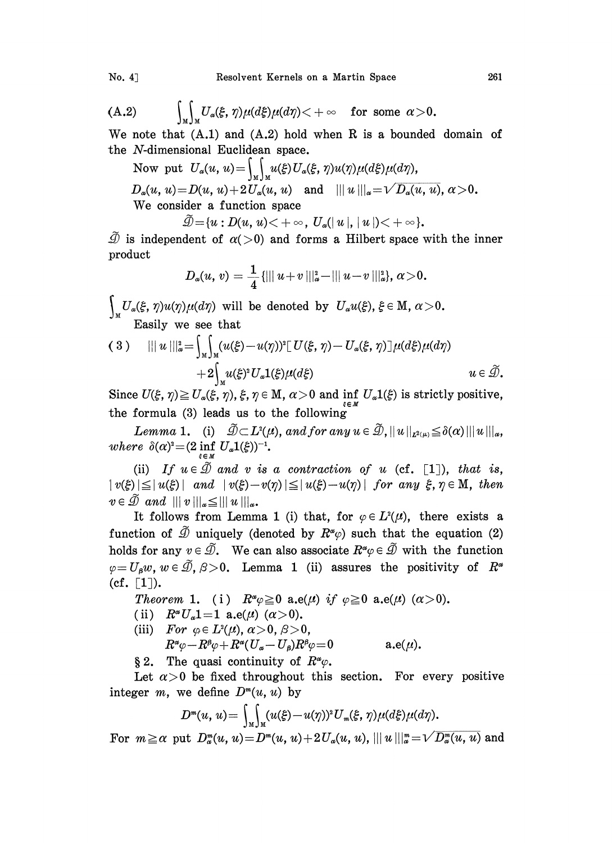(A.2) 
$$
\int_M \int_M U_\alpha(\xi,\eta) \mu(d\xi) \mu(d\eta) < +\infty \quad \text{for some } \alpha > 0.
$$

We note that  $(A.1)$  and  $(A.2)$  hold when R is a bounded domain of the  $N$ -dimensional Euclidean space.

Now put  $U_a(u, u) = \iint_M u(\xi) U_a(\xi, \eta) u(\eta) \mu(d\xi) \mu(d\eta),$  $D_{\alpha}(u, u) = D(u, u) + 2 U_{\alpha}(u, u)$  and  $|||u|||_{\alpha} = \sqrt{D_{\alpha}(u, u)}, \alpha > 0$ . We consider <sup>a</sup> function space

 $\widetilde{\mathcal{D}} = \{u : D(u, u) < +\infty, U_{\alpha}(|u|, |u|) < +\infty\}.$ 

 $\tilde{\mathcal{D}}$  is independent of  $\alpha(>0)$  and forms a Hilbert space with the inner product

$$
D_{\alpha}(u, v) = \frac{1}{4} \{ ||| u + v |||_{{\alpha}}^2 - ||| u - v |||_{{\alpha}}^2 \}, \, {\alpha} > 0.
$$

 $U_{\alpha}(\xi, \eta)u(\eta)\mu(d\eta)$  will be denoted by  $U_{\alpha}u(\xi),$  $\frac{1}{M}$  Easily we see that

(3) 
$$
|||u|||_{\alpha}^{2} = \int_{M} \int_{M} (u(\xi)-u(\eta))^{2} [U(\xi, \eta)-U_{\alpha}(\xi, \eta)] \mu(d\xi) \mu(d\eta) + 2 \int_{M} u(\xi)^{2} U_{\alpha} \mathbf{1}(\xi) \mu(d\xi) \mu(d\xi)
$$
  $u \in \widetilde{\mathcal{D}}.$ 

 $+2 \int_M u(\xi)^2 U_\alpha \mathbb{1}(\xi) \mu(d\xi)$   $u \in \mathcal{D}$ .<br>Since  $U(\xi, \eta) \ge U_\alpha(\xi, \eta)$ ,  $\xi, \eta \in \mathbb{M}$ ,  $\alpha > 0$  and inf  $U_\alpha \mathbb{1}(\xi)$  is strictly positive,<br>the formula (3) leads us to the following the formula (3) leads us to the following

Lemma 1. (i)  $\widetilde{\mathcal{D}} \subset L^2(\mu)$ , and for any  $u \in \widetilde{\mathcal{D}}$ ,  $||u||_{L^2(\mu)} \leq \delta(\alpha) |||u|||_{\alpha}$ , where  $\delta(\alpha)^2 = (2 \inf_{\xi \in M} U_\alpha \mathbb{1}(\xi))^{-1}$ .

(ii) If  $u \in \tilde{\mathcal{D}}$  and v is a contraction of u (cf. [1]), that is,  $|v(\xi)| \leq |u(\xi)|$  and  $|v(\xi)-v(\eta)| \leq |u(\xi)-u(\eta)|$  for any  $\xi, \eta \in M$ , then  $v \in \tilde{\mathcal{D}}$  and  $|||v|||_{\alpha} \leq |||u|||_{\alpha}$ .<br>It follows from Lemma 1 (i) that, for  $\varphi \in L^2(\mu)$ , there exists a

function of  $\tilde{\mathcal{D}}$  uniquely (denoted by  $R^{\alpha}(\varphi)$  such that the equation (2) holds for any  $v \in \tilde{\mathcal{D}}$ . We can also associate  $R^{\alpha} \varphi \in \tilde{\mathcal{D}}$  with the function  $\varphi = U_a w$ ,  $w \in \tilde{\mathcal{D}}, \beta > 0$ . Lemma 1 (ii) assures the positivity of  $R^{\alpha}$  $(cf. [1]).$ 

Theorem 1. (i)  $R^{\alpha}\varphi \geq 0$  a.e( $\mu$ ) if  $\varphi \geq 0$  a.e( $\mu$ ) ( $\alpha > 0$ ).

- (ii)  $R^{\alpha}U_{\alpha}1=1$  a.e( $\mu$ ) ( $\alpha > 0$ ).
- (iii) For  $\varphi \in L^2(\mu)$ ,  $\alpha > 0$ ,  $\beta > 0$ ,  $R^{\alpha}\varphi -R^{\beta}\varphi+R^{\alpha}(U_{\alpha}-U_{\beta})R^{\beta}\varphi=0 \hspace{1.0in} \textrm{a.e}(\mu).$
- § 2. The quasi continuity of  $R^{\alpha}\varphi$ .

Let  $\alpha > 0$  be fixed throughout this section. For every positive integer m, we define  $D^m(u, u)$  by

$$
D^{m}(u, u) = \int_{M}\int_{M}(u(\xi)-u(\eta))^{2}U_{m}(\xi, \eta)\mu(d\xi)\mu(d\eta).
$$

For  $m \ge \alpha$  put  $D_n^m(u, u) = D^m(u, u) + 2U_\alpha(u, u)$ ,  $|||u||_{\alpha}^m = \sqrt{D_\alpha^m(u, u)}$  and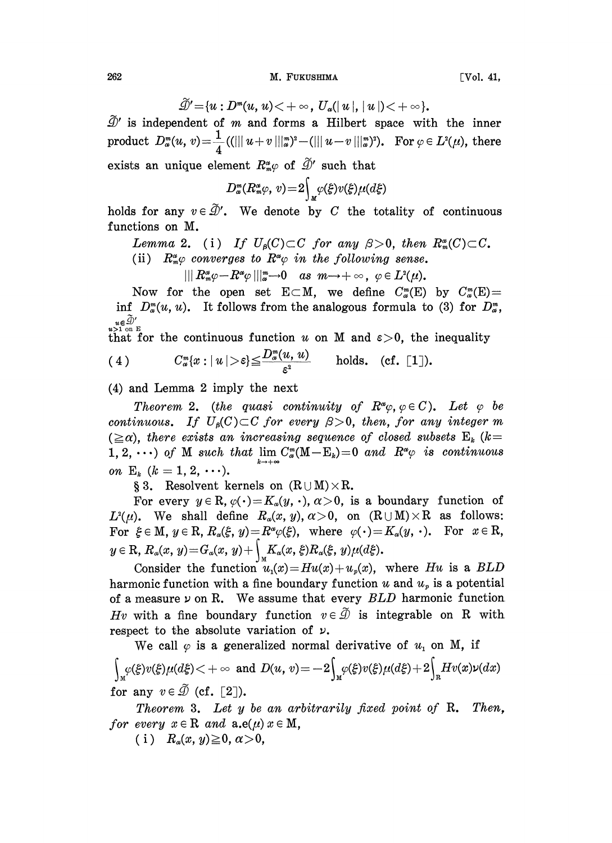262 M. FUKUSHIMA

$$
\tilde{\mathcal{D}}' = \{u : D^m(u, u) < +\infty, U_{\alpha}(|u|, |u|) < +\infty\}.
$$

 $\mathcal{D}'$  is independent of m and forms a Hilbert space with the inner  $\widetilde{\mathcal{D}}'$  is independent of *m* and forms a<br>product  $D_x^m(u, v) = \frac{1}{4}((\| \| u+v\, \|_\alpha^m)^2 - (\| \|$  $u-v \mid \mid_{\infty}^{w}$ ). For  $\varphi \in L^{2}(\mu)$ , there<br>such that

exists an unique element  $R_m^{\alpha} \varphi$  of  $\widetilde{\mathcal{D}}'$  such that<br> $R_m^{\alpha}(\varphi) = 0 \int \varphi(\xi) \psi(\xi) d\xi$ 

$$
D_{\omega}^m(R_{\omega}^{\alpha}\varphi,\,v)\!=\!2\!\int_M\!\varphi(\xi)v(\xi)\mu(d\xi)
$$

holds for any  $v \in \tilde{\mathcal{D}}'$ . We denote by C the totality of continuous functions on M.

Lemma 2. (i) If  $U_{\beta}(C) \subset C$  for any  $\beta > 0$ , then  $R_{\mathfrak{m}}^{\alpha}(C) \subset C$ . (ii)  $R^{\alpha}_{m}\varphi$  converges to  $R^{\alpha}\varphi$  in the following sense.

 $|||R_m^{\alpha}\varphi - R^{\alpha}\varphi|||_{\alpha}^{m} \to 0$  as  $m \to +\infty$ ,  $\varphi \in L^2(\mu)$ .

Now for the open set  $E\subset M$ , we define  $C_{\alpha}^{m}(E)$  by  $C_{\alpha}^{m}(E)=$ inf  $D_{\alpha}^m(u, u)$ . It follows from the analogous formula to (3) for  $D_{\alpha}^m$ ,  $\lim_{n\in\widetilde{\mathcal{D}}'}\sum_{n=1}^{\infty}$ 

that for the continuous function u on M and  $\varepsilon > 0$ , the inequality

(4) 
$$
C_{\omega}^m\{x: |u|>\varepsilon\}\leqq \frac{D_{\omega}^m(u, u)}{\varepsilon^2} \quad \text{ holds. (cf. [1]).}
$$

(4) and Lemma 2 imply the next

Theorem 2. (the quasi continuity of  $R^{\alpha}\varphi, \varphi \in C$ ). Let  $\varphi$  be continuous. If  $U_{\beta}(C) \subset C$  for every  $\beta > 0$ , then, for any integer m  $(\geq \alpha)$ , there exists an increasing sequence of closed subsets  $E_k$  (k= 1, 2,  $\cdots$ ) of M such that  $\lim_{k \to \infty} C_{\alpha}^{m}(M - E_{k}) = 0$  and  $R^{\alpha} \varphi$  is continuous on  $E_k$   $(k = 1, 2, \ldots).$ 

§ 3. Resolvent kernels on  $(R \cup M) \times R$ .

For every  $y \in \mathbb{R}$ ,  $\varphi(\cdot) = K_{\alpha}(y, \cdot)$ ,  $\alpha > 0$ , is a boundary function of  $L^2(\mu)$ . We shall define  $R_\alpha(x, y), \alpha > 0$ , on  $(R \cup M) \times R$  as follows: For  $\xi \in M$ ,  $y \in R$ ,  $R_{\alpha}(\xi, y) = R^{\alpha} \varphi(\xi)$ , where  $\varphi(\cdot) = K_{\alpha}(y, \cdot)$ . For  $x \in R$ ,  $y \in \mathbf{R}$ ,  $R_{\alpha}(x, y) = G_{\alpha}(x, y) + \int_{M} K_{\alpha}(x, \xi) R_{\alpha}(\xi, y) \mu(d\xi).$ 

Consider the function  $u_1(x) = Hu(x)+u_2(x)$ , where Hu is a BLD harmonic function with a fine boundary function u and  $u_p$  is a potential of a measure  $\nu$  on R. We assume that every  $BLD$  harmonic function Hv with a fine boundary function  $v \in \tilde{\mathcal{D}}$  is integrable on R with respect to the absolute variation of  $\nu$ .

We call  $\varphi$  is a generalized normal derivative of  $u_1$  on M, if  $\int\limits_{\mathbb{R}^M} \varphi(\xi) v(\xi) \mu(d\xi) < +\infty \ \ \text{and} \ \ D(u,\,v) \!=\! -2 \!\! \int\limits_{\mathbb{R}^M} \!\varphi(\xi) v(\xi) \mu(d\xi) \!+\! 2 \!\! \int_{\mathbb{R}^M}$ for any  $v \in \tilde{\mathcal{D}}$  (cf. [2]).

Theorem 3. Let y be an arbitrarily fixed point of R. Then, for every  $x \in \mathbb{R}$  and  $\mathbf{a}.\mathbf{e}(\mu)$   $x \in \mathbb{M}$ ,

(i)  $R_\alpha(x, y) \geq 0, \alpha > 0,$